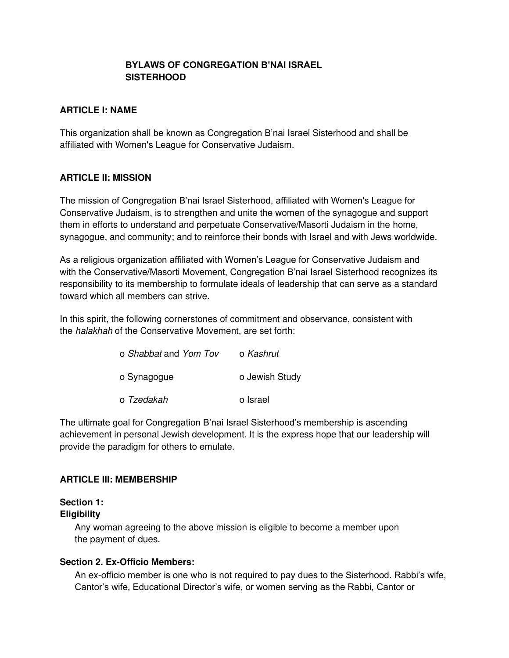## **BYLAWS OF CONGREGATION B'NAI ISRAEL SISTERHOOD**

## **ARTICLE I: NAME**

This organization shall be known as Congregation B'nai Israel Sisterhood and shall be affiliated with Women's League for Conservative Judaism.

## **ARTICLE II: MISSION**

The mission of Congregation B'nai Israel Sisterhood, affiliated with Women's League for Conservative Judaism, is to strengthen and unite the women of the synagogue and support them in efforts to understand and perpetuate Conservative/Masorti Judaism in the home, synagogue, and community; and to reinforce their bonds with Israel and with Jews worldwide.

As a religious organization affiliated with Women's League for Conservative Judaism and with the Conservative/Masorti Movement, Congregation B'nai Israel Sisterhood recognizes its responsibility to its membership to formulate ideals of leadership that can serve as a standard toward which all members can strive.

In this spirit, the following cornerstones of commitment and observance, consistent with the halakhah of the Conservative Movement, are set forth:

| o Shabbat and Yom Tov | o Kashrut      |
|-----------------------|----------------|
| o Synagogue           | o Jewish Study |
| o Tzedakah            | o Israel       |

The ultimate goal for Congregation B'nai Israel Sisterhood's membership is ascending achievement in personal Jewish development. It is the express hope that our leadership will provide the paradigm for others to emulate.

## **ARTICLE III: MEMBERSHIP**

## **Section 1:**

## **Eligibility**

Any woman agreeing to the above mission is eligible to become a member upon the payment of dues.

## **Section 2. Ex-Officio Members:**

An ex-officio member is one who is not required to pay dues to the Sisterhood. Rabbi's wife, Cantor's wife, Educational Director's wife, or women serving as the Rabbi, Cantor or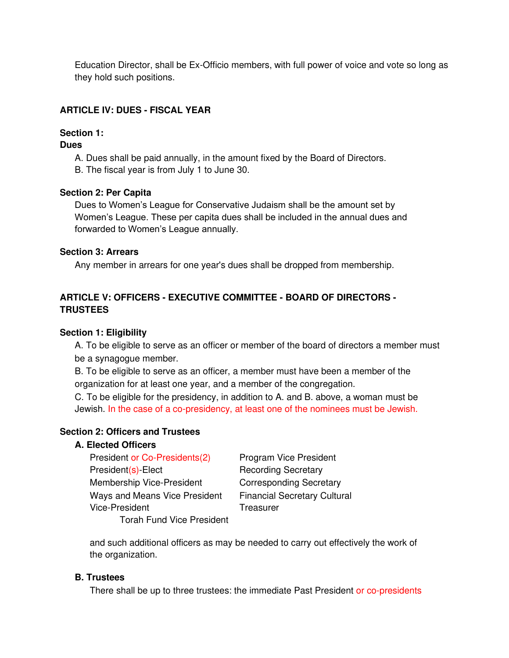Education Director, shall be Ex-Officio members, with full power of voice and vote so long as they hold such positions.

## **ARTICLE IV: DUES - FISCAL YEAR**

## **Section 1:**

#### **Dues**

A. Dues shall be paid annually, in the amount fixed by the Board of Directors.

B. The fiscal year is from July 1 to June 30.

#### **Section 2: Per Capita**

Dues to Women's League for Conservative Judaism shall be the amount set by Women's League. These per capita dues shall be included in the annual dues and forwarded to Women's League annually.

#### **Section 3: Arrears**

Any member in arrears for one year's dues shall be dropped from membership.

## **ARTICLE V: OFFICERS - EXECUTIVE COMMITTEE - BOARD OF DIRECTORS - TRUSTEES**

## **Section 1: Eligibility**

A. To be eligible to serve as an officer or member of the board of directors a member must be a synagogue member.

B. To be eligible to serve as an officer, a member must have been a member of the organization for at least one year, and a member of the congregation.

C. To be eligible for the presidency, in addition to A. and B. above, a woman must be Jewish. In the case of a co-presidency, at least one of the nominees must be Jewish.

## **Section 2: Officers and Trustees**

## **A. Elected Officers**

President or Co-Presidents(2) Program Vice President President(s)-Elect Recording Secretary Membership Vice-President Corresponding Secretary Ways and Means Vice President Financial Secretary Cultural Vice-President Treasurer Torah Fund Vice President

and such additional officers as may be needed to carry out effectively the work of the organization.

## **B. Trustees**

There shall be up to three trustees: the immediate Past President or co-presidents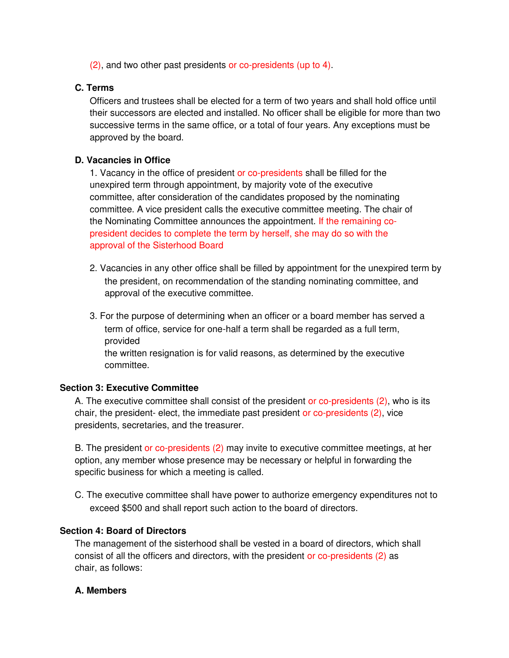(2), and two other past presidents or co-presidents (up to 4).

## **C. Terms**

Officers and trustees shall be elected for a term of two years and shall hold office until their successors are elected and installed. No officer shall be eligible for more than two successive terms in the same office, or a total of four years. Any exceptions must be approved by the board.

## **D. Vacancies in Office**

1. Vacancy in the office of president or co-presidents shall be filled for the unexpired term through appointment, by majority vote of the executive committee, after consideration of the candidates proposed by the nominating committee. A vice president calls the executive committee meeting. The chair of the Nominating Committee announces the appointment. If the remaining copresident decides to complete the term by herself, she may do so with the approval of the Sisterhood Board

- 2. Vacancies in any other office shall be filled by appointment for the unexpired term by the president, on recommendation of the standing nominating committee, and approval of the executive committee.
- 3. For the purpose of determining when an officer or a board member has served a term of office, service for one-half a term shall be regarded as a full term, provided the written resignation is for valid reasons, as determined by the executive committee.

## **Section 3: Executive Committee**

A. The executive committee shall consist of the president or co-presidents (2), who is its chair, the president- elect, the immediate past president or co-presidents (2), vice presidents, secretaries, and the treasurer.

B. The president or co-presidents (2) may invite to executive committee meetings, at her option, any member whose presence may be necessary or helpful in forwarding the specific business for which a meeting is called.

C. The executive committee shall have power to authorize emergency expenditures not to exceed \$500 and shall report such action to the board of directors.

## **Section 4: Board of Directors**

The management of the sisterhood shall be vested in a board of directors, which shall consist of all the officers and directors, with the president or co-presidents (2) as chair, as follows:

## **A. Members**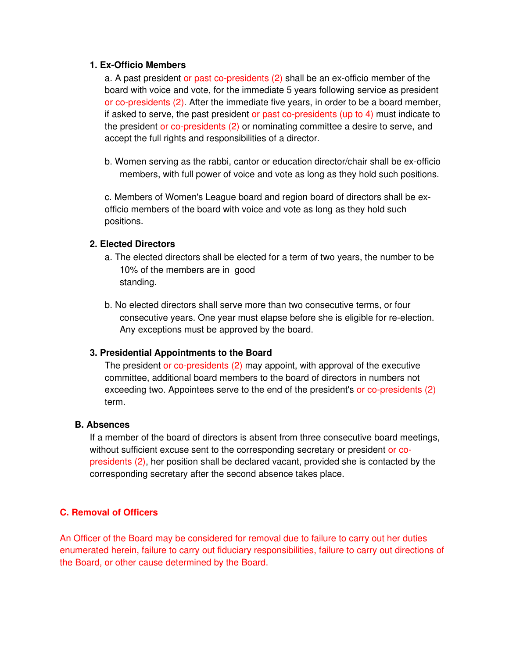#### **1. Ex-Officio Members**

a. A past president or past co-presidents (2) shall be an ex-officio member of the board with voice and vote, for the immediate 5 years following service as president or co-presidents (2). After the immediate five years, in order to be a board member, if asked to serve, the past president or past co-presidents (up to 4) must indicate to the president or co-presidents (2) or nominating committee a desire to serve, and accept the full rights and responsibilities of a director.

b. Women serving as the rabbi, cantor or education director/chair shall be ex-officio members, with full power of voice and vote as long as they hold such positions.

c. Members of Women's League board and region board of directors shall be exofficio members of the board with voice and vote as long as they hold such positions.

## **2. Elected Directors**

- a. The elected directors shall be elected for a term of two years, the number to be 10% of the members are in good standing.
- b. No elected directors shall serve more than two consecutive terms, or four consecutive years. One year must elapse before she is eligible for re-election. Any exceptions must be approved by the board.

## **3. Presidential Appointments to the Board**

The president or co-presidents (2) may appoint, with approval of the executive committee, additional board members to the board of directors in numbers not exceeding two. Appointees serve to the end of the president's or co-presidents (2) term.

## **B. Absences**

If a member of the board of directors is absent from three consecutive board meetings, without sufficient excuse sent to the corresponding secretary or president or copresidents (2), her position shall be declared vacant, provided she is contacted by the corresponding secretary after the second absence takes place.

## **C. Removal of Officers**

An Officer of the Board may be considered for removal due to failure to carry out her duties enumerated herein, failure to carry out fiduciary responsibilities, failure to carry out directions of the Board, or other cause determined by the Board.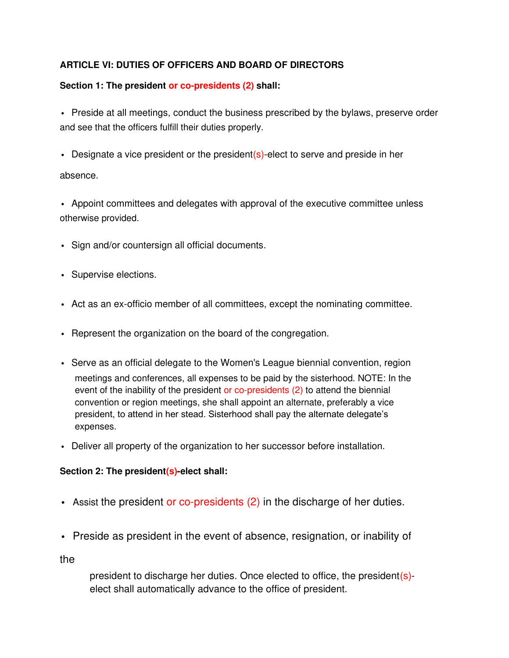# **ARTICLE VI: DUTIES OF OFFICERS AND BOARD OF DIRECTORS**

# **Section 1: The president or co-presidents (2) shall:**

• Preside at all meetings, conduct the business prescribed by the bylaws, preserve order and see that the officers fulfill their duties properly.

• Designate a vice president or the president(s)-elect to serve and preside in her

absence.

• Appoint committees and delegates with approval of the executive committee unless otherwise provided.

- Sign and/or countersign all official documents.
- Supervise elections.
- Act as an ex-officio member of all committees, except the nominating committee.
- Represent the organization on the board of the congregation.
- Serve as an official delegate to the Women's League biennial convention, region meetings and conferences, all expenses to be paid by the sisterhood. NOTE: In the event of the inability of the president or co-presidents (2) to attend the biennial convention or region meetings, she shall appoint an alternate, preferably a vice president, to attend in her stead. Sisterhood shall pay the alternate delegate's expenses.
- Deliver all property of the organization to her successor before installation.

# **Section 2: The president(s)-elect shall:**

- Assist the president or co-presidents (2) in the discharge of her duties.
- Preside as president in the event of absence, resignation, or inability of

the

president to discharge her duties. Once elected to office, the president(s) elect shall automatically advance to the office of president.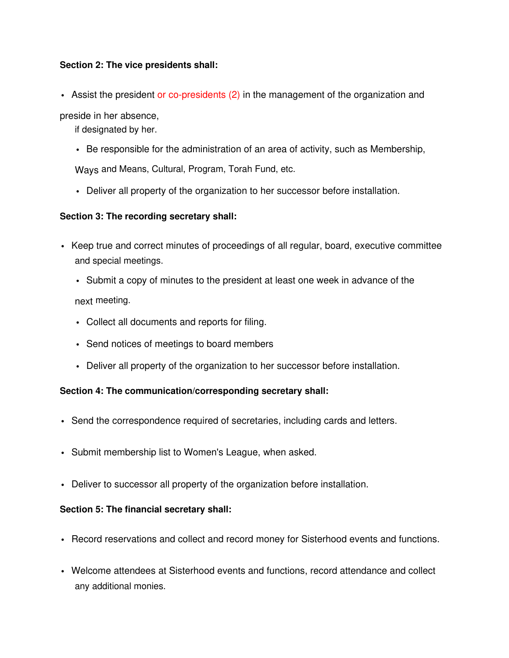## **Section 2: The vice presidents shall:**

• Assist the president or co-presidents (2) in the management of the organization and

preside in her absence,

if designated by her.

- Be responsible for the administration of an area of activity, such as Membership, Ways and Means, Cultural, Program, Torah Fund, etc.
- Deliver all property of the organization to her successor before installation.

## **Section 3: The recording secretary shall:**

- Keep true and correct minutes of proceedings of all regular, board, executive committee and special meetings.
	- Submit a copy of minutes to the president at least one week in advance of the next meeting.
	- Collect all documents and reports for filing.
	- Send notices of meetings to board members
	- Deliver all property of the organization to her successor before installation.

## **Section 4: The communication/corresponding secretary shall:**

- Send the correspondence required of secretaries, including cards and letters.
- Submit membership list to Women's League, when asked.
- Deliver to successor all property of the organization before installation.

## **Section 5: The financial secretary shall:**

- Record reservations and collect and record money for Sisterhood events and functions.
- Welcome attendees at Sisterhood events and functions, record attendance and collect any additional monies.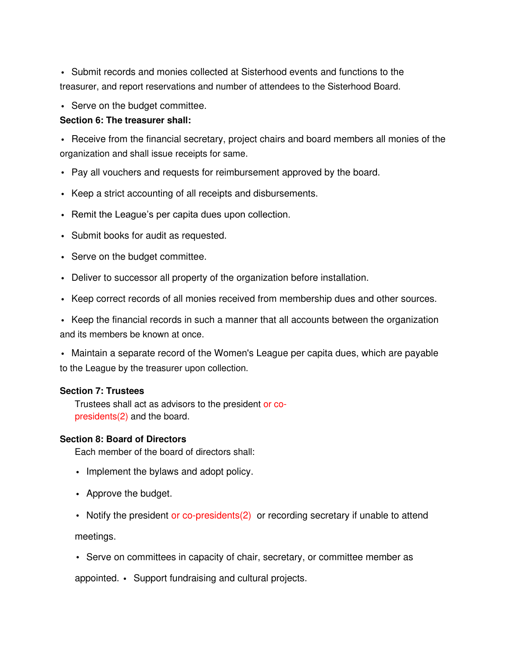• Submit records and monies collected at Sisterhood events and functions to the treasurer, and report reservations and number of attendees to the Sisterhood Board.

• Serve on the budget committee.

## **Section 6: The treasurer shall:**

• Receive from the financial secretary, project chairs and board members all monies of the organization and shall issue receipts for same.

- Pay all vouchers and requests for reimbursement approved by the board.
- Keep a strict accounting of all receipts and disbursements.
- Remit the League's per capita dues upon collection.
- Submit books for audit as requested.
- Serve on the budget committee.
- Deliver to successor all property of the organization before installation.
- Keep correct records of all monies received from membership dues and other sources.

• Keep the financial records in such a manner that all accounts between the organization and its members be known at once.

• Maintain a separate record of the Women's League per capita dues, which are payable to the League by the treasurer upon collection.

## **Section 7: Trustees**

Trustees shall act as advisors to the president or copresidents(2) and the board.

## **Section 8: Board of Directors**

Each member of the board of directors shall:

- Implement the bylaws and adopt policy.
- Approve the budget.
- Notify the president or co-presidents(2) or recording secretary if unable to attend

meetings.

• Serve on committees in capacity of chair, secretary, or committee member as

appointed. • Support fundraising and cultural projects.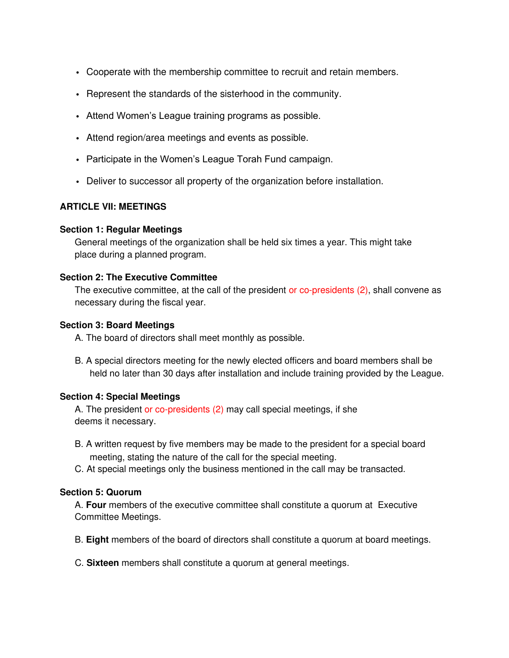- Cooperate with the membership committee to recruit and retain members.
- Represent the standards of the sisterhood in the community.
- Attend Women's League training programs as possible.
- Attend region/area meetings and events as possible.
- Participate in the Women's League Torah Fund campaign.
- Deliver to successor all property of the organization before installation.

## **ARTICLE VII: MEETINGS**

#### **Section 1: Regular Meetings**

General meetings of the organization shall be held six times a year. This might take place during a planned program.

#### **Section 2: The Executive Committee**

The executive committee, at the call of the president or co-presidents (2), shall convene as necessary during the fiscal year.

#### **Section 3: Board Meetings**

A. The board of directors shall meet monthly as possible.

B. A special directors meeting for the newly elected officers and board members shall be held no later than 30 days after installation and include training provided by the League.

## **Section 4: Special Meetings**

A. The president or co-presidents (2) may call special meetings, if she deems it necessary.

- B. A written request by five members may be made to the president for a special board meeting, stating the nature of the call for the special meeting.
- C. At special meetings only the business mentioned in the call may be transacted.

## **Section 5: Quorum**

A. **Four** members of the executive committee shall constitute a quorum at Executive Committee Meetings.

- B. **Eight** members of the board of directors shall constitute a quorum at board meetings.
- C. **Sixteen** members shall constitute a quorum at general meetings.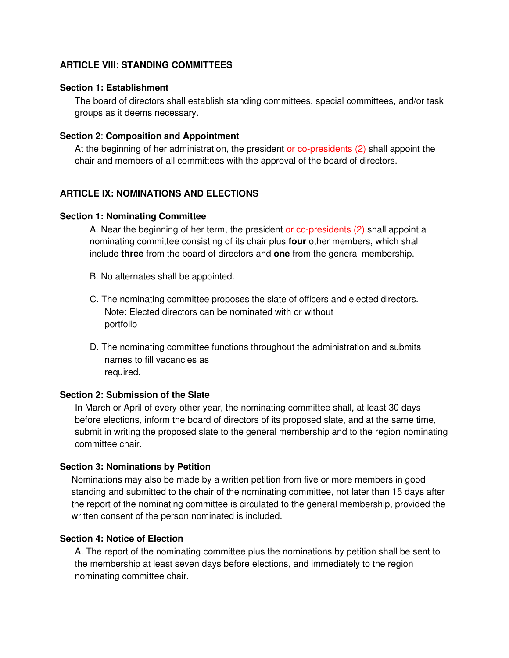## **ARTICLE VIII: STANDING COMMITTEES**

#### **Section 1: Establishment**

The board of directors shall establish standing committees, special committees, and/or task groups as it deems necessary.

#### **Section 2**: **Composition and Appointment**

At the beginning of her administration, the president or co-presidents (2) shall appoint the chair and members of all committees with the approval of the board of directors.

## **ARTICLE IX: NOMINATIONS AND ELECTIONS**

#### **Section 1: Nominating Committee**

A. Near the beginning of her term, the president or co-presidents (2) shall appoint a nominating committee consisting of its chair plus **four** other members, which shall include **three** from the board of directors and **one** from the general membership.

- B. No alternates shall be appointed.
- C. The nominating committee proposes the slate of officers and elected directors. Note: Elected directors can be nominated with or without portfolio
- D. The nominating committee functions throughout the administration and submits names to fill vacancies as required.

#### **Section 2: Submission of the Slate**

In March or April of every other year, the nominating committee shall, at least 30 days before elections, inform the board of directors of its proposed slate, and at the same time, submit in writing the proposed slate to the general membership and to the region nominating committee chair.

#### **Section 3: Nominations by Petition**

Nominations may also be made by a written petition from five or more members in good standing and submitted to the chair of the nominating committee, not later than 15 days after the report of the nominating committee is circulated to the general membership, provided the written consent of the person nominated is included.

#### **Section 4: Notice of Election**

A. The report of the nominating committee plus the nominations by petition shall be sent to the membership at least seven days before elections, and immediately to the region nominating committee chair.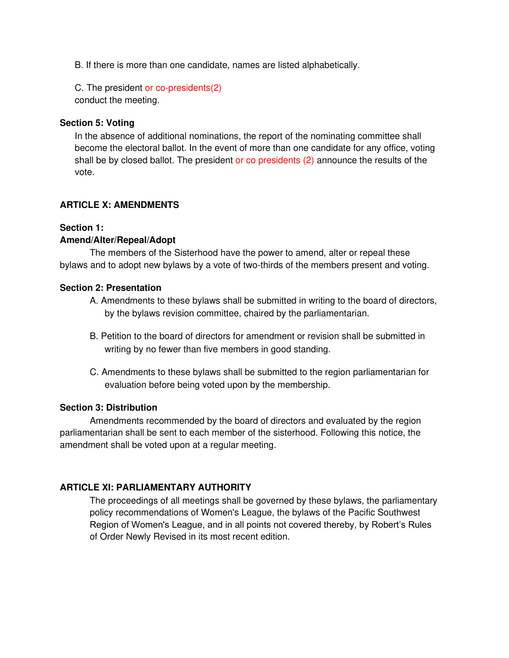B. If there is more than one candidate, names are listed alphabetically.

C. The president or co-presidents(2) conduct the meeting.

#### **Section 5: Voting**

In the absence of additional nominations, the report of the nominating committee shall become the electoral ballot. In the event of more than one candidate for any office, voting shall be by closed ballot. The president or co presidents (2) announce the results of the vote.

## **ARTICLE X: AMENDMENTS**

## **Section 1:**

## **Amend/Alter/Repeal/Adopt**

The members of the Sisterhood have the power to amend, alter or repeal these bylaws and to adopt new bylaws by a vote of two-thirds of the members present and voting.

#### **Section 2: Presentation**

- A. Amendments to these bylaws shall be submitted in writing to the board of directors, by the bylaws revision committee, chaired by the parliamentarian.
- B. Petition to the board of directors for amendment or revision shall be submitted in writing by no fewer than five members in good standing.
- C. Amendments to these bylaws shall be submitted to the region parliamentarian for evaluation before being voted upon by the membership.

## **Section 3: Distribution**

Amendments recommended by the board of directors and evaluated by the region parliamentarian shall be sent to each member of the sisterhood. Following this notice, the amendment shall be voted upon at a regular meeting.

## **ARTICLE XI: PARLIAMENTARY AUTHORITY**

The proceedings of all meetings shall be governed by these bylaws, the parliamentary policy recommendations of Women's League, the bylaws of the Pacific Southwest Region of Women's League, and in all points not covered thereby, by Robert's Rules of Order Newly Revised in its most recent edition.